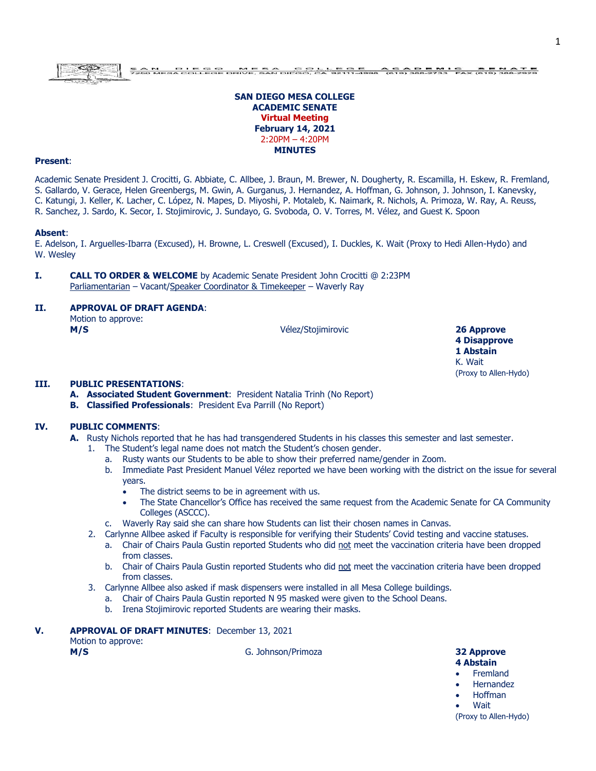# **SAN DIEGO MESA COLLEGE ACADEMIC SENATE Virtual Meeting February 14, 2021** 2:20PM – 4:20PM **MINUTES**

### **Present**:

Academic Senate President J. Crocitti, G. Abbiate, C. Allbee, J. Braun, M. Brewer, N. Dougherty, R. Escamilla, H. Eskew, R. Fremland, S. Gallardo, V. Gerace, Helen Greenbergs, M. Gwin, A. Gurganus, J. Hernandez, A. Hoffman, G. Johnson, J. Johnson, I. Kanevsky, C. Katungi, J. Keller, K. Lacher, C. López, N. Mapes, D. Miyoshi, P. Motaleb, K. Naimark, R. Nichols, A. Primoza, W. Ray, A. Reuss, R. Sanchez, J. Sardo, K. Secor, I. Stojimirovic, J. Sundayo, G. Svoboda, O. V. Torres, M. Vélez, and Guest K. Spoon

#### **Absent**:

E. Adelson, I. Arguelles-Ibarra (Excused), H. Browne, L. Creswell (Excused), I. Duckles, K. Wait (Proxy to Hedi Allen-Hydo) and W. Wesley

**I. CALL TO ORDER & WELCOME** by Academic Senate President John Crocitti @ 2:23PM Parliamentarian – Vacant/Speaker Coordinator & Timekeeper – Waverly Ray

# **II. APPROVAL OF DRAFT AGENDA**:

| Motion to approve: |  |
|--------------------|--|
| M/S                |  |

**M/S** Vélez/Stojimirovic **26 Approve**

**4 Disapprove 1 Abstain** K. Wait (Proxy to Allen-Hydo)

# **III. PUBLIC PRESENTATIONS**:

- **A. Associated Student Government**: President Natalia Trinh (No Report)
- **B. Classified Professionals**: President Eva Parrill (No Report)

# **IV. PUBLIC COMMENTS**:

- **A.** Rusty Nichols reported that he has had transgendered Students in his classes this semester and last semester.
	- 1. The Student's legal name does not match the Student's chosen gender.
		- a. Rusty wants our Students to be able to show their preferred name/gender in Zoom.
		- b. Immediate Past President Manuel Vélez reported we have been working with the district on the issue for several years.
			- The district seems to be in agreement with us.
			- The State Chancellor's Office has received the same request from the Academic Senate for CA Community Colleges (ASCCC).
		- c. Waverly Ray said she can share how Students can list their chosen names in Canvas.
	- 2. Carlynne Allbee asked if Faculty is responsible for verifying their Students' Covid testing and vaccine statuses.
		- a. Chair of Chairs Paula Gustin reported Students who did not meet the vaccination criteria have been dropped from classes.
		- b. Chair of Chairs Paula Gustin reported Students who did not meet the vaccination criteria have been dropped from classes.
	- 3. Carlynne Allbee also asked if mask dispensers were installed in all Mesa College buildings.
		- a. Chair of Chairs Paula Gustin reported N 95 masked were given to the School Deans.
		- b. Irena Stojimirovic reported Students are wearing their masks.
- **V. APPROVAL OF DRAFT MINUTES**: December 13, 2021

Motion to approve:

**M/S** G. Johnson/Primoza **32 Approve**

# **4 Abstain**

- **Fremland**
- Hernandez
- Hoffman

**Wait** (Proxy to Allen-Hydo)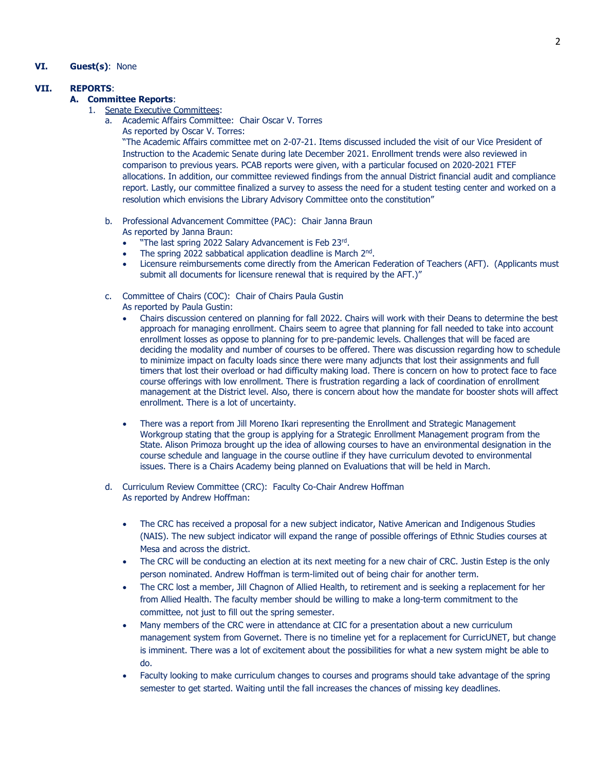# **VI. Guest(s)**: None

# **VII. REPORTS**:

## **A. Committee Reports**:

- 1. Senate Executive Committees:
	- a. Academic Affairs Committee: Chair Oscar V. Torres
		- As reported by Oscar V. Torres:

"The Academic Affairs committee met on 2-07-21. Items discussed included the visit of our Vice President of Instruction to the Academic Senate during late December 2021. Enrollment trends were also reviewed in comparison to previous years. PCAB reports were given, with a particular focused on 2020-2021 FTEF allocations. In addition, our committee reviewed findings from the annual District financial audit and compliance report. Lastly, our committee finalized a survey to assess the need for a student testing center and worked on a resolution which envisions the Library Advisory Committee onto the constitution"

- b. Professional Advancement Committee (PAC): Chair Janna Braun As reported by Janna Braun:
	- "The last spring 2022 Salary Advancement is Feb 23rd.
	- The spring 2022 sabbatical application deadline is March 2<sup>nd</sup>.
	- Licensure reimbursements come directly from the American Federation of Teachers (AFT). (Applicants must submit all documents for licensure renewal that is required by the AFT.)"
- c. Committee of Chairs (COC): Chair of Chairs Paula Gustin
	- As reported by Paula Gustin:
		- Chairs discussion centered on planning for fall 2022. Chairs will work with their Deans to determine the best approach for managing enrollment. Chairs seem to agree that planning for fall needed to take into account enrollment losses as oppose to planning for to pre-pandemic levels. Challenges that will be faced are deciding the modality and number of courses to be offered. There was discussion regarding how to schedule to minimize impact on faculty loads since there were many adjuncts that lost their assignments and full timers that lost their overload or had difficulty making load. There is concern on how to protect face to face course offerings with low enrollment. There is frustration regarding a lack of coordination of enrollment management at the District level. Also, there is concern about how the mandate for booster shots will affect enrollment. There is a lot of uncertainty.
	- There was a report from Jill Moreno Ikari representing the Enrollment and Strategic Management Workgroup stating that the group is applying for a Strategic Enrollment Management program from the State. Alison Primoza brought up the idea of allowing courses to have an environmental designation in the course schedule and language in the course outline if they have curriculum devoted to environmental issues. There is a Chairs Academy being planned on Evaluations that will be held in March.
- d. Curriculum Review Committee (CRC): Faculty Co-Chair Andrew Hoffman As reported by Andrew Hoffman:
	- The CRC has received a proposal for a new subject indicator, Native American and Indigenous Studies (NAIS). The new subject indicator will expand the range of possible offerings of Ethnic Studies courses at Mesa and across the district.
	- The CRC will be conducting an election at its next meeting for a new chair of CRC. Justin Estep is the only person nominated. Andrew Hoffman is term-limited out of being chair for another term.
	- The CRC lost a member, Jill Chagnon of Allied Health, to retirement and is seeking a replacement for her from Allied Health. The faculty member should be willing to make a long-term commitment to the committee, not just to fill out the spring semester.
	- Many members of the CRC were in attendance at CIC for a presentation about a new curriculum management system from Governet. There is no timeline yet for a replacement for CurricUNET, but change is imminent. There was a lot of excitement about the possibilities for what a new system might be able to do.
	- Faculty looking to make curriculum changes to courses and programs should take advantage of the spring semester to get started. Waiting until the fall increases the chances of missing key deadlines.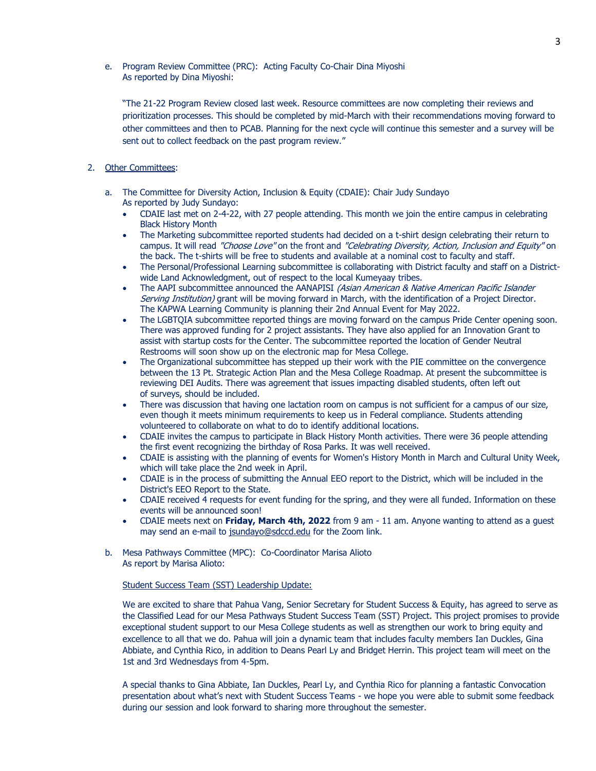e. Program Review Committee (PRC): Acting Faculty Co-Chair Dina Miyoshi As reported by Dina Miyoshi:

"The 21-22 Program Review closed last week. Resource committees are now completing their reviews and prioritization processes. This should be completed by mid-March with their recommendations moving forward to other committees and then to PCAB. Planning for the next cycle will continue this semester and a survey will be sent out to collect feedback on the past program review."

# 2. Other Committees:

- a. The Committee for Diversity Action, Inclusion & Equity (CDAIE): Chair Judy Sundayo As reported by Judy Sundayo:
	- CDAIE last met on 2-4-22, with 27 people attending. This month we join the entire campus in celebrating Black History Month
	- The Marketing subcommittee reported students had decided on a t-shirt design celebrating their return to campus. It will read "Choose Love" on the front and "Celebrating Diversity, Action, Inclusion and Equity" on the back. The t-shirts will be free to students and available at a nominal cost to faculty and staff.
	- The Personal/Professional Learning subcommittee is collaborating with District faculty and staff on a Districtwide Land Acknowledgment, out of respect to the local Kumeyaay tribes.
	- The AAPI subcommittee announced the AANAPISI (Asian American & Native American Pacific Islander Serving Institution) grant will be moving forward in March, with the identification of a Project Director. The KAPWA Learning Community is planning their 2nd Annual Event for May 2022.
	- The LGBTQIA subcommittee reported things are moving forward on the campus Pride Center opening soon. There was approved funding for 2 project assistants. They have also applied for an Innovation Grant to assist with startup costs for the Center. The subcommittee reported the location of Gender Neutral Restrooms will soon show up on the electronic map for Mesa College.
	- The Organizational subcommittee has stepped up their work with the PIE committee on the convergence between the 13 Pt. Strategic Action Plan and the Mesa College Roadmap. At present the subcommittee is reviewing DEI Audits. There was agreement that issues impacting disabled students, often left out of surveys, should be included.
	- There was discussion that having one lactation room on campus is not sufficient for a campus of our size, even though it meets minimum requirements to keep us in Federal compliance. Students attending volunteered to collaborate on what to do to identify additional locations.
	- CDAIE invites the campus to participate in Black History Month activities. There were 36 people attending the first event recognizing the birthday of Rosa Parks. It was well received.
	- CDAIE is assisting with the planning of events for Women's History Month in March and Cultural Unity Week, which will take place the 2nd week in April.
	- CDAIE is in the process of submitting the Annual EEO report to the District, which will be included in the District's EEO Report to the State.
	- CDAIE received 4 requests for event funding for the spring, and they were all funded. Information on these events will be announced soon!
	- CDAIE meets next on **Friday, March 4th, 2022** from 9 am 11 am. Anyone wanting to attend as a guest may send an e-mail to [jsundayo@sdccd.edu](mailto:jsundayo@sdccd.edu) for the Zoom link.
- b. Mesa Pathways Committee (MPC): Co-Coordinator Marisa Alioto As report by Marisa Alioto:

#### Student Success Team (SST) Leadership Update:

We are excited to share that Pahua Vang, Senior Secretary for Student Success & Equity, has agreed to serve as the Classified Lead for our Mesa Pathways Student Success Team (SST) Project. This project promises to provide exceptional student support to our Mesa College students as well as strengthen our work to bring equity and excellence to all that we do. Pahua will join a dynamic team that includes faculty members Ian Duckles, Gina Abbiate, and Cynthia Rico, in addition to Deans Pearl Ly and Bridget Herrin. This project team will meet on the 1st and 3rd Wednesdays from 4-5pm.

A special thanks to Gina Abbiate, Ian Duckles, Pearl Ly, and Cynthia Rico for planning a fantastic Convocation presentation about what's next with Student Success Teams - we hope you were able to submit some feedback during our session and look forward to sharing more throughout the semester.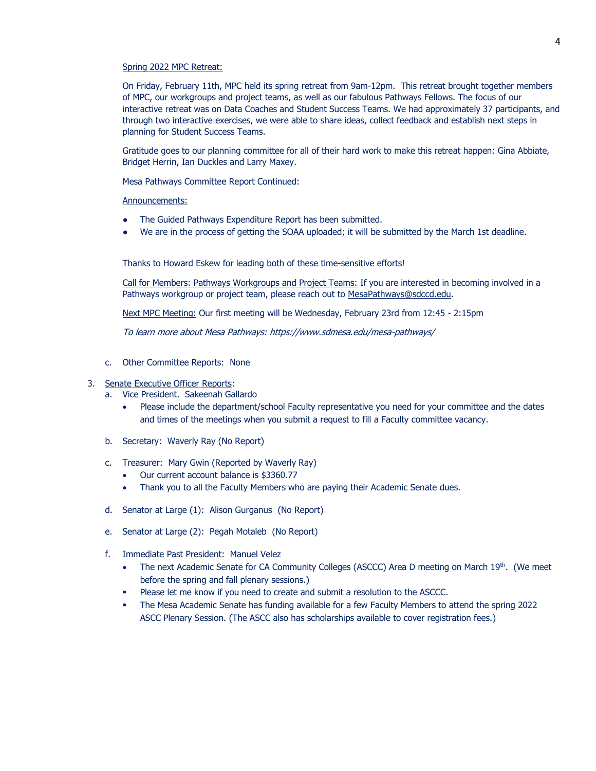#### Spring 2022 MPC Retreat:

On Friday, February 11th, MPC held its spring retreat from 9am-12pm. This retreat brought together members of MPC, our workgroups and project teams, as well as our fabulous Pathways Fellows. The focus of our interactive retreat was on Data Coaches and Student Success Teams. We had approximately 37 participants, and through two interactive exercises, we were able to share ideas, collect feedback and establish next steps in planning for Student Success Teams.

Gratitude goes to our planning committee for all of their hard work to make this retreat happen: Gina Abbiate, Bridget Herrin, Ian Duckles and Larry Maxey.

Mesa Pathways Committee Report Continued:

Announcements:

- The Guided Pathways Expenditure Report has been submitted.
- We are in the process of getting the SOAA uploaded; it will be submitted by the March 1st deadline.

Thanks to Howard Eskew for leading both of these time-sensitive efforts!

Call for Members: Pathways Workgroups and Project Teams: If you are interested in becoming involved in a Pathways workgroup or project team, please reach out to [MesaPathways@sdccd.edu.](mailto:MesaPathways@sdccd.edu)

Next MPC Meeting: Our first meeting will be Wednesday, February 23rd from 12:45 - 2:15pm

To learn more about Mesa Pathways:<https://www.sdmesa.edu/mesa-pathways/>

c. Other Committee Reports: None

#### 3. Senate Executive Officer Reports:

- a. Vice President. Sakeenah Gallardo
	- Please include the department/school Faculty representative you need for your committee and the dates and times of the meetings when you submit a request to fill a Faculty committee vacancy.
- b. Secretary: Waverly Ray (No Report)
- c. Treasurer: Mary Gwin (Reported by Waverly Ray)
	- Our current account balance is \$3360.77
	- Thank you to all the Faculty Members who are paying their Academic Senate dues.
- d. Senator at Large (1): Alison Gurganus (No Report)
- e. Senator at Large (2): Pegah Motaleb (No Report)
- f. Immediate Past President: Manuel Velez
	- The next Academic Senate for CA Community Colleges (ASCCC) Area D meeting on March 19<sup>th</sup>. (We meet before the spring and fall plenary sessions.)
	- Please let me know if you need to create and submit a resolution to the ASCCC.
	- The Mesa Academic Senate has funding available for a few Faculty Members to attend the spring 2022 ASCC Plenary Session. (The ASCC also has scholarships available to cover registration fees.)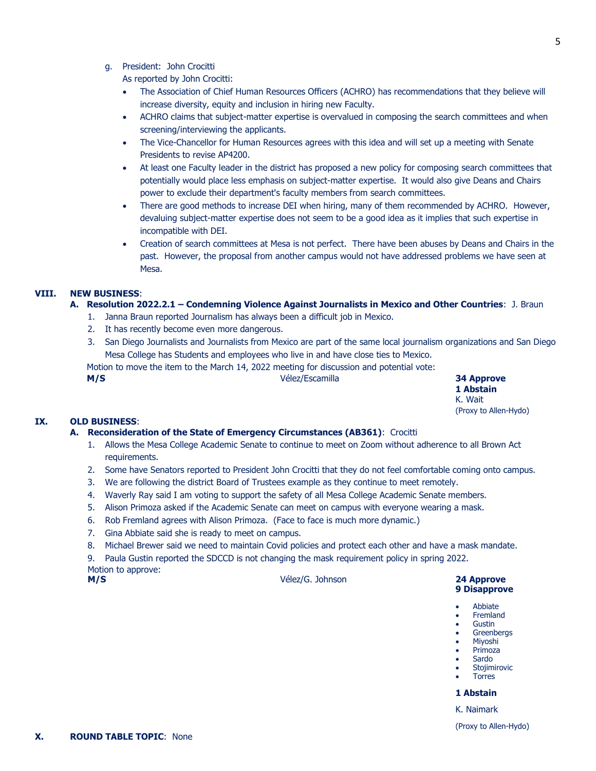# g. President: John Crocitti

As reported by John Crocitti:

- The Association of Chief Human Resources Officers (ACHRO) has recommendations that they believe will increase diversity, equity and inclusion in hiring new Faculty.
- ACHRO claims that subject-matter expertise is overvalued in composing the search committees and when screening/interviewing the applicants.
- The Vice-Chancellor for Human Resources agrees with this idea and will set up a meeting with Senate Presidents to revise AP4200.
- At least one Faculty leader in the district has proposed a new policy for composing search committees that potentially would place less emphasis on subject-matter expertise. It would also give Deans and Chairs power to exclude their department's faculty members from search committees.
- There are good methods to increase DEI when hiring, many of them recommended by ACHRO. However, devaluing subject-matter expertise does not seem to be a good idea as it implies that such expertise in incompatible with DEI.
- Creation of search committees at Mesa is not perfect. There have been abuses by Deans and Chairs in the past. However, the proposal from another campus would not have addressed problems we have seen at Mesa.

# **VIII. NEW BUSINESS**:

# **A. Resolution 2022.2.1 – Condemning Violence Against Journalists in Mexico and Other Countries**: J. Braun

- 1. Janna Braun reported Journalism has always been a difficult job in Mexico.
- 2. It has recently become even more dangerous.
- 3. San Diego Journalists and Journalists from Mexico are part of the same local journalism organizations and San Diego Mesa College has Students and employees who live in and have close ties to Mexico.

Motion to move the item to the March 14, 2022 meeting for discussion and potential vote:

**M/S** Vélez/Escamilla **34 Approve**

**1 Abstain** K. Wait (Proxy to Allen-Hydo)

# **IX. OLD BUSINESS**:

# **A. Reconsideration of the State of Emergency Circumstances (AB361)**: Crocitti

- 1. Allows the Mesa College Academic Senate to continue to meet on Zoom without adherence to all Brown Act requirements.
- 2. Some have Senators reported to President John Crocitti that they do not feel comfortable coming onto campus.
- 3. We are following the district Board of Trustees example as they continue to meet remotely.
- 4. Waverly Ray said I am voting to support the safety of all Mesa College Academic Senate members.
- 5. Alison Primoza asked if the Academic Senate can meet on campus with everyone wearing a mask.
- 6. Rob Fremland agrees with Alison Primoza. (Face to face is much more dynamic.)
- 7. Gina Abbiate said she is ready to meet on campus.
- 8. Michael Brewer said we need to maintain Covid policies and protect each other and have a mask mandate.

9. Paula Gustin reported the SDCCD is not changing the mask requirement policy in spring 2022. Motion to approve:

**M/S** Vélez/G. Johnson **24 Approve**

# **9 Disapprove**

- Abbiate
- Fremland **Gustin**
- Greenbergs
- Miyoshi
- Primoza
- Sardo
- Stojimirovic Torres
- 

# **1 Abstain**

K. Naimark

(Proxy to Allen-Hydo)

5